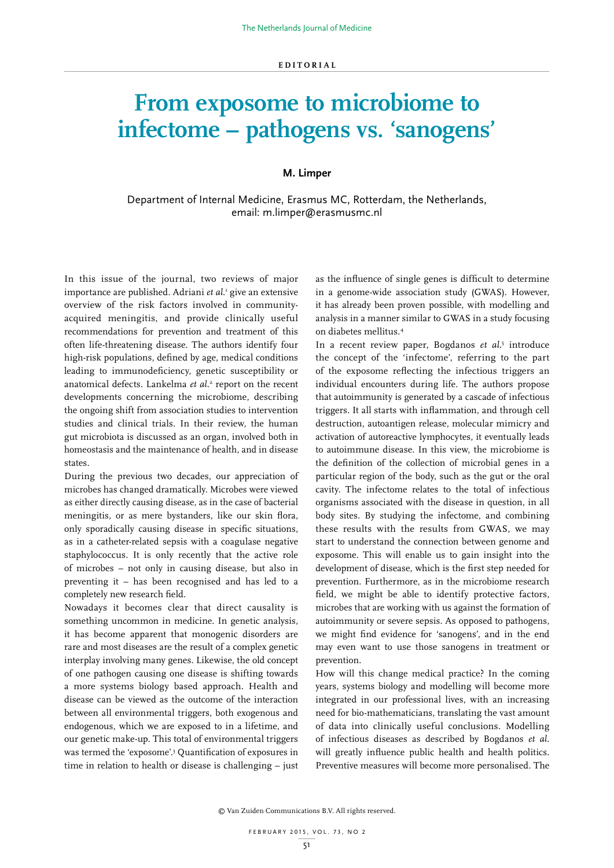## **From exposome to microbiome to infectome – pathogens vs. 'sanogens'**

## **M. Limper**

## Department of Internal Medicine, Erasmus MC, Rotterdam, the Netherlands, email: m.limper@erasmusmc.nl

In this issue of the journal, two reviews of major importance are published. Adriani *et al*. 1 give an extensive overview of the risk factors involved in communityacquired meningitis, and provide clinically useful recommendations for prevention and treatment of this often life-threatening disease. The authors identify four high-risk populations, defined by age, medical conditions leading to immunodeficiency, genetic susceptibility or anatomical defects. Lankelma et al.<sup>2</sup> report on the recent developments concerning the microbiome, describing the ongoing shift from association studies to intervention studies and clinical trials. In their review, the human gut microbiota is discussed as an organ, involved both in homeostasis and the maintenance of health, and in disease states.

During the previous two decades, our appreciation of microbes has changed dramatically. Microbes were viewed as either directly causing disease, as in the case of bacterial meningitis, or as mere bystanders, like our skin flora, only sporadically causing disease in specific situations, as in a catheter-related sepsis with a coagulase negative staphylococcus. It is only recently that the active role of microbes – not only in causing disease, but also in preventing it – has been recognised and has led to a completely new research field.

Nowadays it becomes clear that direct causality is something uncommon in medicine. In genetic analysis, it has become apparent that monogenic disorders are rare and most diseases are the result of a complex genetic interplay involving many genes. Likewise, the old concept of one pathogen causing one disease is shifting towards a more systems biology based approach. Health and disease can be viewed as the outcome of the interaction between all environmental triggers, both exogenous and endogenous, which we are exposed to in a lifetime, and our genetic make-up. This total of environmental triggers was termed the 'exposome'.3 Quantification of exposures in time in relation to health or disease is challenging – just

as the influence of single genes is difficult to determine in a genome-wide association study (GWAS). However, it has already been proven possible, with modelling and analysis in a manner similar to GWAS in a study focusing on diabetes mellitus.4

In a recent review paper, Bogdanos *et al*. 5 introduce the concept of the 'infectome', referring to the part of the exposome reflecting the infectious triggers an individual encounters during life. The authors propose that autoimmunity is generated by a cascade of infectious triggers. It all starts with inflammation, and through cell destruction, autoantigen release, molecular mimicry and activation of autoreactive lymphocytes, it eventually leads to autoimmune disease. In this view, the microbiome is the definition of the collection of microbial genes in a particular region of the body, such as the gut or the oral cavity. The infectome relates to the total of infectious organisms associated with the disease in question, in all body sites. By studying the infectome, and combining these results with the results from GWAS, we may start to understand the connection between genome and exposome. This will enable us to gain insight into the development of disease, which is the first step needed for prevention. Furthermore, as in the microbiome research field, we might be able to identify protective factors, microbes that are working with us against the formation of autoimmunity or severe sepsis. As opposed to pathogens, we might find evidence for 'sanogens', and in the end may even want to use those sanogens in treatment or prevention.

How will this change medical practice? In the coming years, systems biology and modelling will become more integrated in our professional lives, with an increasing need for bio-mathematicians, translating the vast amount of data into clinically useful conclusions. Modelling of infectious diseases as described by Bogdanos *et al*. will greatly influence public health and health politics. Preventive measures will become more personalised. The